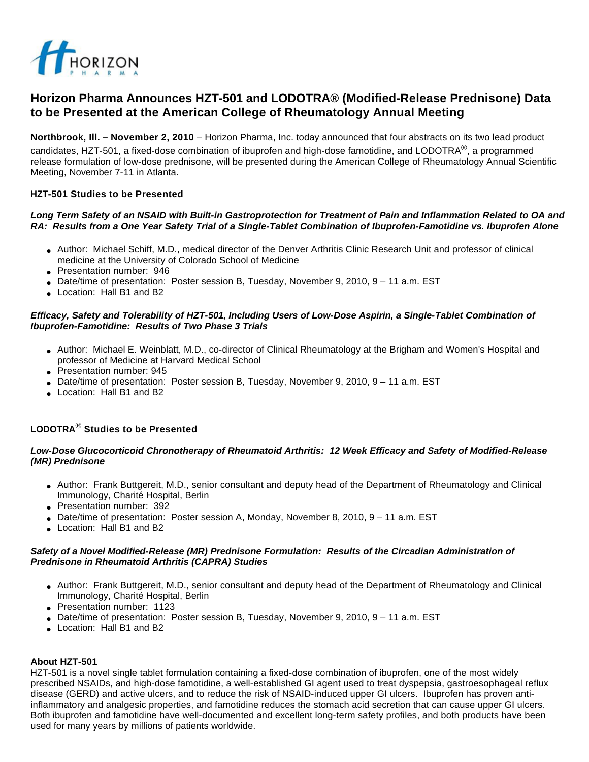

# **Horizon Pharma Announces HZT-501 and LODOTRA® (Modified-Release Prednisone) Data to be Presented at the American College of Rheumatology Annual Meeting**

**Northbrook, Ill. – November 2, 2010** – Horizon Pharma, Inc. today announced that four abstracts on its two lead product candidates, HZT-501, a fixed-dose combination of ibuprofen and high-dose famotidine, and LODOTRA®, a programmed release formulation of low-dose prednisone, will be presented during the American College of Rheumatology Annual Scientific Meeting, November 7-11 in Atlanta.

### **HZT-501 Studies to be Presented**

#### **Long Term Safety of an NSAID with Built-in Gastroprotection for Treatment of Pain and Inflammation Related to OA and RA: Results from a One Year Safety Trial of a Single-Tablet Combination of Ibuprofen-Famotidine vs. Ibuprofen Alone**

- Author: Michael Schiff, M.D., medical director of the Denver Arthritis Clinic Research Unit and professor of clinical medicine at the University of Colorado School of Medicine
- Presentation number: 946
- Date/time of presentation: Poster session B, Tuesday, November 9, 2010, 9 11 a.m. EST
- Location: Hall B1 and B2

#### **Efficacy, Safety and Tolerability of HZT-501, Including Users of Low-Dose Aspirin, a Single-Tablet Combination of Ibuprofen-Famotidine: Results of Two Phase 3 Trials**

- Author: Michael E. Weinblatt, M.D., co-director of Clinical Rheumatology at the Brigham and Women's Hospital and professor of Medicine at Harvard Medical School
- Presentation number: 945
- Date/time of presentation: Poster session B, Tuesday, November 9, 2010,  $9 11$  a.m. EST
- Location: Hall B1 and B2

## **LODOTRA**® **Studies to be Presented**

#### **Low-Dose Glucocorticoid Chronotherapy of Rheumatoid Arthritis: 12 Week Efficacy and Safety of Modified-Release (MR) Prednisone**

- Author: Frank Buttgereit, M.D., senior consultant and deputy head of the Department of Rheumatology and Clinical Immunology, Charité Hospital, Berlin
- Presentation number: 392
- Date/time of presentation: Poster session A, Monday, November 8, 2010,  $9 11$  a.m. EST
- Location: Hall B1 and B2

#### **Safety of a Novel Modified-Release (MR) Prednisone Formulation: Results of the Circadian Administration of Prednisone in Rheumatoid Arthritis (CAPRA) Studies**

- Author: Frank Buttgereit, M.D., senior consultant and deputy head of the Department of Rheumatology and Clinical Immunology, Charité Hospital, Berlin
- Presentation number: 1123
- Date/time of presentation: Poster session B, Tuesday, November 9, 2010,  $9 11$  a.m. EST
- Location: Hall B1 and B2

#### **About HZT-501**

HZT-501 is a novel single tablet formulation containing a fixed-dose combination of ibuprofen, one of the most widely prescribed NSAIDs, and high-dose famotidine, a well-established GI agent used to treat dyspepsia, gastroesophageal reflux disease (GERD) and active ulcers, and to reduce the risk of NSAID-induced upper GI ulcers. Ibuprofen has proven antiinflammatory and analgesic properties, and famotidine reduces the stomach acid secretion that can cause upper GI ulcers. Both ibuprofen and famotidine have well-documented and excellent long-term safety profiles, and both products have been used for many years by millions of patients worldwide.